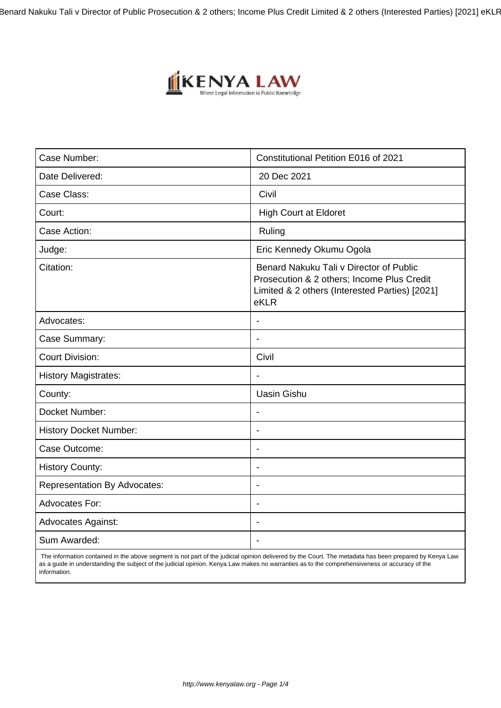Benard Nakuku Tali v Director of Public Prosecution & 2 others; Income Plus Credit Limited & 2 others (Interested Parties) [2021] eKLR



| Case Number:                        | Constitutional Petition E016 of 2021                                                                                                            |
|-------------------------------------|-------------------------------------------------------------------------------------------------------------------------------------------------|
| Date Delivered:                     | 20 Dec 2021                                                                                                                                     |
| Case Class:                         | Civil                                                                                                                                           |
| Court:                              | <b>High Court at Eldoret</b>                                                                                                                    |
| Case Action:                        | Ruling                                                                                                                                          |
| Judge:                              | Eric Kennedy Okumu Ogola                                                                                                                        |
| Citation:                           | Benard Nakuku Tali v Director of Public<br>Prosecution & 2 others; Income Plus Credit<br>Limited & 2 others (Interested Parties) [2021]<br>eKLR |
| Advocates:                          | $\overline{\phantom{a}}$                                                                                                                        |
| Case Summary:                       | $\blacksquare$                                                                                                                                  |
| <b>Court Division:</b>              | Civil                                                                                                                                           |
| <b>History Magistrates:</b>         | $\overline{\phantom{a}}$                                                                                                                        |
| County:                             | <b>Uasin Gishu</b>                                                                                                                              |
| Docket Number:                      | $\blacksquare$                                                                                                                                  |
| <b>History Docket Number:</b>       | $\blacksquare$                                                                                                                                  |
| Case Outcome:                       | $\blacksquare$                                                                                                                                  |
| <b>History County:</b>              | $\overline{\phantom{a}}$                                                                                                                        |
| <b>Representation By Advocates:</b> | $\blacksquare$                                                                                                                                  |
| <b>Advocates For:</b>               | $\overline{\phantom{a}}$                                                                                                                        |
| <b>Advocates Against:</b>           |                                                                                                                                                 |
| Sum Awarded:                        |                                                                                                                                                 |

 The information contained in the above segment is not part of the judicial opinion delivered by the Court. The metadata has been prepared by Kenya Law as a guide in understanding the subject of the judicial opinion. Kenya Law makes no warranties as to the comprehensiveness or accuracy of the information.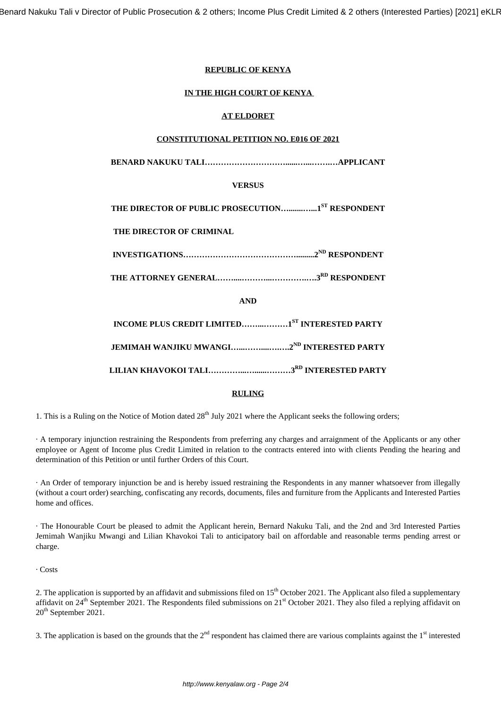# **REPUBLIC OF KENYA**

# **IN THE HIGH COURT OF KENYA**

# **AT ELDORET**

## **CONSTITUTIONAL PETITION NO. E016 OF 2021**

**BENARD NAKUKU TALI…………………………......…...…….…APPLICANT**

# **VERSUS**

**THE DIRECTOR OF PUBLIC PROSECUTION….......…...1ST RESPONDENT**

# **THE DIRECTOR OF CRIMINAL**

**INVESTIGATIONS…………………………………….........2ND RESPONDENT**

**THE ATTORNEY GENERAL……....………...………….….3RD RESPONDENT**

**AND**

**INCOME PLUS CREDIT LIMITED……...………1ST INTERESTED PARTY**

**JEMIMAH WANJIKU MWANGI…...……....….….2ND INTERESTED PARTY**

**LILIAN KHAVOKOI TALI…………...…......………3RD INTERESTED PARTY**

# **RULING**

1. This is a Ruling on the Notice of Motion dated  $28<sup>th</sup>$  July 2021 where the Applicant seeks the following orders;

· A temporary injunction restraining the Respondents from preferring any charges and arraignment of the Applicants or any other employee or Agent of Income plus Credit Limited in relation to the contracts entered into with clients Pending the hearing and determination of this Petition or until further Orders of this Court.

· An Order of temporary injunction be and is hereby issued restraining the Respondents in any manner whatsoever from illegally (without a court order) searching, confiscating any records, documents, files and furniture from the Applicants and Interested Parties home and offices.

· The Honourable Court be pleased to admit the Applicant herein, Bernard Nakuku Tali, and the 2nd and 3rd Interested Parties Jemimah Wanjiku Mwangi and Lilian Khavokoi Tali to anticipatory bail on affordable and reasonable terms pending arrest or charge.

· Costs

2. The application is supported by an affidavit and submissions filed on  $15<sup>th</sup>$  October 2021. The Applicant also filed a supplementary affidavit on  $24<sup>th</sup>$  September 2021. The Respondents filed submissions on  $21<sup>st</sup>$  October 2021. They also filed a replying affidavit on 20<sup>th</sup> September 2021.

3. The application is based on the grounds that the  $2<sup>nd</sup>$  respondent has claimed there are various complaints against the  $1<sup>st</sup>$  interested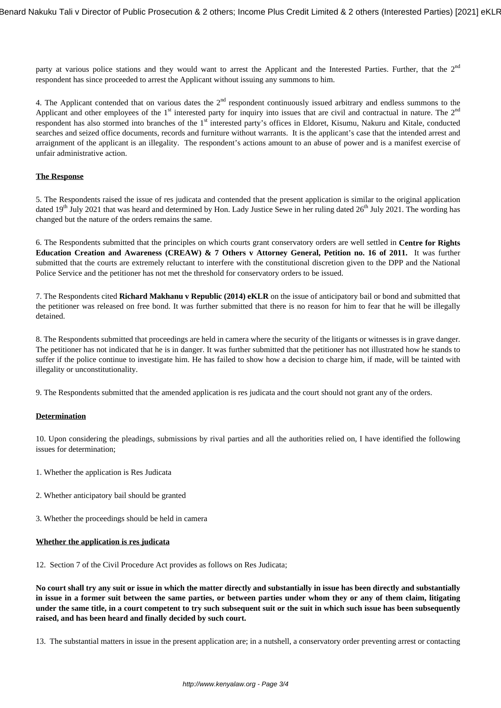party at various police stations and they would want to arrest the Applicant and the Interested Parties. Further, that the  $2<sup>nd</sup>$ respondent has since proceeded to arrest the Applicant without issuing any summons to him.

4. The Applicant contended that on various dates the  $2<sup>nd</sup>$  respondent continuously issued arbitrary and endless summons to the Applicant and other employees of the  $1<sup>st</sup>$  interested party for inquiry into issues that are civil and contractual in nature. The  $2<sup>nd</sup>$ respondent has also stormed into branches of the 1<sup>st</sup> interested party's offices in Eldoret, Kisumu, Nakuru and Kitale, conducted searches and seized office documents, records and furniture without warrants. It is the applicant's case that the intended arrest and arraignment of the applicant is an illegality. The respondent's actions amount to an abuse of power and is a manifest exercise of unfair administrative action.

## **The Response**

5. The Respondents raised the issue of res judicata and contended that the present application is similar to the original application dated 19<sup>th</sup> July 2021 that was heard and determined by Hon. Lady Justice Sewe in her ruling dated 26<sup>th</sup> July 2021. The wording has changed but the nature of the orders remains the same.

6. The Respondents submitted that the principles on which courts grant conservatory orders are well settled in **Centre for Rights Education Creation and Awareness (CREAW) & 7 Others v Attorney General, Petition no. 16 of 2011.** It was further submitted that the courts are extremely reluctant to interfere with the constitutional discretion given to the DPP and the National Police Service and the petitioner has not met the threshold for conservatory orders to be issued.

7. The Respondents cited **Richard Makhanu v Republic (2014) eKLR** on the issue of anticipatory bail or bond and submitted that the petitioner was released on free bond. It was further submitted that there is no reason for him to fear that he will be illegally detained.

8. The Respondents submitted that proceedings are held in camera where the security of the litigants or witnesses is in grave danger. The petitioner has not indicated that he is in danger. It was further submitted that the petitioner has not illustrated how he stands to suffer if the police continue to investigate him. He has failed to show how a decision to charge him, if made, will be tainted with illegality or unconstitutionality.

9. The Respondents submitted that the amended application is res judicata and the court should not grant any of the orders.

#### **Determination**

10. Upon considering the pleadings, submissions by rival parties and all the authorities relied on, I have identified the following issues for determination;

- 1. Whether the application is Res Judicata
- 2. Whether anticipatory bail should be granted
- 3. Whether the proceedings should be held in camera

#### **Whether the application is res judicata**

12. Section 7 of the Civil Procedure Act provides as follows on Res Judicata;

**No court shall try any suit or issue in which the matter directly and substantially in issue has been directly and substantially in issue in a former suit between the same parties, or between parties under whom they or any of them claim, litigating under the same title, in a court competent to try such subsequent suit or the suit in which such issue has been subsequently raised, and has been heard and finally decided by such court.**

13. The substantial matters in issue in the present application are; in a nutshell, a conservatory order preventing arrest or contacting